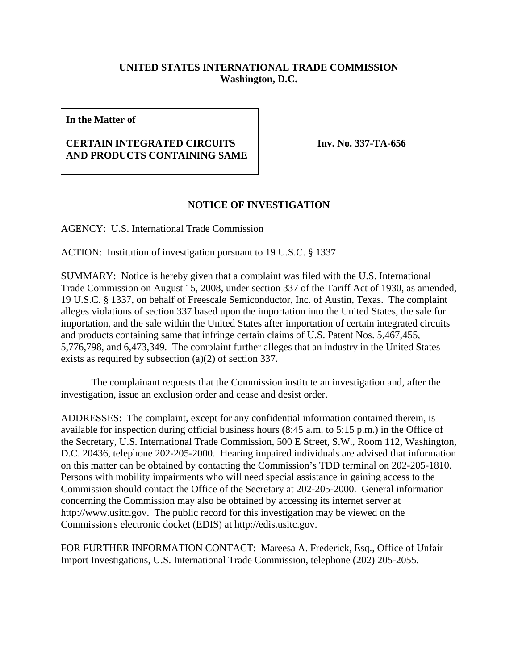## **UNITED STATES INTERNATIONAL TRADE COMMISSION Washington, D.C.**

**In the Matter of**

## **CERTAIN INTEGRATED CIRCUITS AND PRODUCTS CONTAINING SAME**

**Inv. No. 337-TA-656**

## **NOTICE OF INVESTIGATION**

AGENCY: U.S. International Trade Commission

ACTION: Institution of investigation pursuant to 19 U.S.C. § 1337

SUMMARY: Notice is hereby given that a complaint was filed with the U.S. International Trade Commission on August 15, 2008, under section 337 of the Tariff Act of 1930, as amended, 19 U.S.C. § 1337, on behalf of Freescale Semiconductor, Inc. of Austin, Texas. The complaint alleges violations of section 337 based upon the importation into the United States, the sale for importation, and the sale within the United States after importation of certain integrated circuits and products containing same that infringe certain claims of U.S. Patent Nos. 5,467,455, 5,776,798, and 6,473,349. The complaint further alleges that an industry in the United States exists as required by subsection (a)(2) of section 337.

The complainant requests that the Commission institute an investigation and, after the investigation, issue an exclusion order and cease and desist order.

ADDRESSES: The complaint, except for any confidential information contained therein, is available for inspection during official business hours (8:45 a.m. to 5:15 p.m.) in the Office of the Secretary, U.S. International Trade Commission, 500 E Street, S.W., Room 112, Washington, D.C. 20436, telephone 202-205-2000. Hearing impaired individuals are advised that information on this matter can be obtained by contacting the Commission's TDD terminal on 202-205-1810. Persons with mobility impairments who will need special assistance in gaining access to the Commission should contact the Office of the Secretary at 202-205-2000. General information concerning the Commission may also be obtained by accessing its internet server at http://www.usitc.gov. The public record for this investigation may be viewed on the Commission's electronic docket (EDIS) at http://edis.usitc.gov.

FOR FURTHER INFORMATION CONTACT: Mareesa A. Frederick, Esq., Office of Unfair Import Investigations, U.S. International Trade Commission, telephone (202) 205-2055.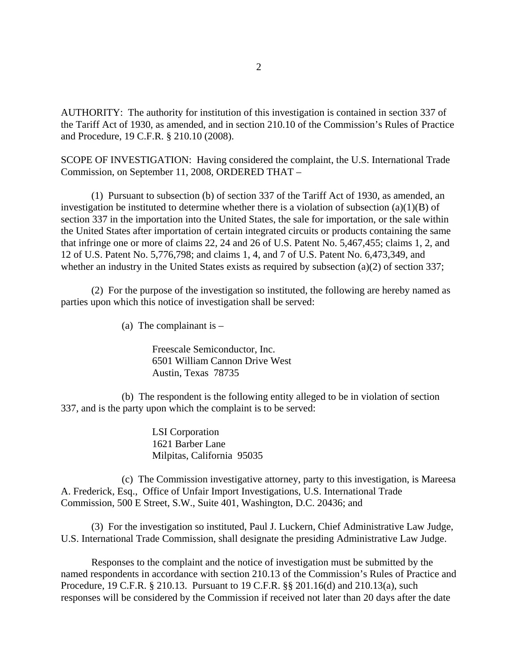AUTHORITY: The authority for institution of this investigation is contained in section 337 of the Tariff Act of 1930, as amended, and in section 210.10 of the Commission's Rules of Practice and Procedure, 19 C.F.R. § 210.10 (2008).

SCOPE OF INVESTIGATION: Having considered the complaint, the U.S. International Trade Commission, on September 11, 2008, ORDERED THAT –

(1) Pursuant to subsection (b) of section 337 of the Tariff Act of 1930, as amended, an investigation be instituted to determine whether there is a violation of subsection (a)(1)(B) of section 337 in the importation into the United States, the sale for importation, or the sale within the United States after importation of certain integrated circuits or products containing the same that infringe one or more of claims 22, 24 and 26 of U.S. Patent No. 5,467,455; claims 1, 2, and 12 of U.S. Patent No. 5,776,798; and claims 1, 4, and 7 of U.S. Patent No. 6,473,349, and whether an industry in the United States exists as required by subsection (a)(2) of section 337;

(2) For the purpose of the investigation so instituted, the following are hereby named as parties upon which this notice of investigation shall be served:

(a) The complainant is  $-$ 

Freescale Semiconductor, Inc. 6501 William Cannon Drive West Austin, Texas 78735

(b) The respondent is the following entity alleged to be in violation of section 337, and is the party upon which the complaint is to be served:

> LSI Corporation 1621 Barber Lane Milpitas, California 95035

(c) The Commission investigative attorney, party to this investigation, is Mareesa A. Frederick, Esq., Office of Unfair Import Investigations, U.S. International Trade Commission, 500 E Street, S.W., Suite 401, Washington, D.C. 20436; and

(3) For the investigation so instituted, Paul J. Luckern, Chief Administrative Law Judge, U.S. International Trade Commission, shall designate the presiding Administrative Law Judge.

Responses to the complaint and the notice of investigation must be submitted by the named respondents in accordance with section 210.13 of the Commission's Rules of Practice and Procedure, 19 C.F.R. § 210.13. Pursuant to 19 C.F.R. §§ 201.16(d) and 210.13(a), such responses will be considered by the Commission if received not later than 20 days after the date